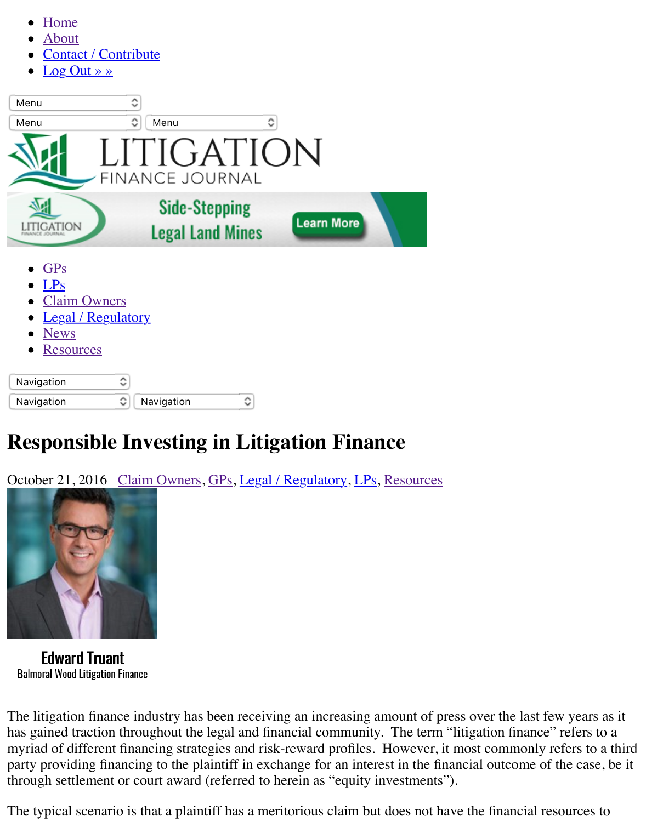| Menu                                                                                                                  | ٥<br>Menu                     | A<br>w                  |                   |
|-----------------------------------------------------------------------------------------------------------------------|-------------------------------|-------------------------|-------------------|
|                                                                                                                       | LITIGATION<br>FINANCE JOURNAL |                         |                   |
| TIGATION                                                                                                              | <b>Side-Stepping</b>          | <b>Legal Land Mines</b> | <b>Learn More</b> |
| <b>GPs</b><br><b>LPs</b><br><b>Claim Owners</b><br><b>Legal</b> / Regulatory<br><b>News</b><br>$\bullet$<br>Resources |                               |                         |                   |
| Navigation<br>Navigation                                                                                              | ≎<br>≎<br>Navigation          | ≎                       |                   |

# **Res[pon](https://litigationfinancejournal.com/category/news/)[sible Inv](https://litigationfinancejournal.com/category/legal-regulatory/)esting in Litigation Finance**

October 21, 2016 Claim Owners, GPs, Legal / Regulatory, LPs, Resources



**Edward Truant Balmoral Wood Litigation Finance** 

The litigation finance industry has been receiving an increasing amount of press over the last f has gained traction throughout the legal and financial community. The term "litigation finance" myriad of different financing strategies and risk-reward profiles. However, it most commonly party providing financing to the plaintiff in exchange for an interest in the financial outcome of through settlement or court award (referred to herein as "equity investments").

The typical scenario is that a plaintiff has a meritorious claim but does not have the financial re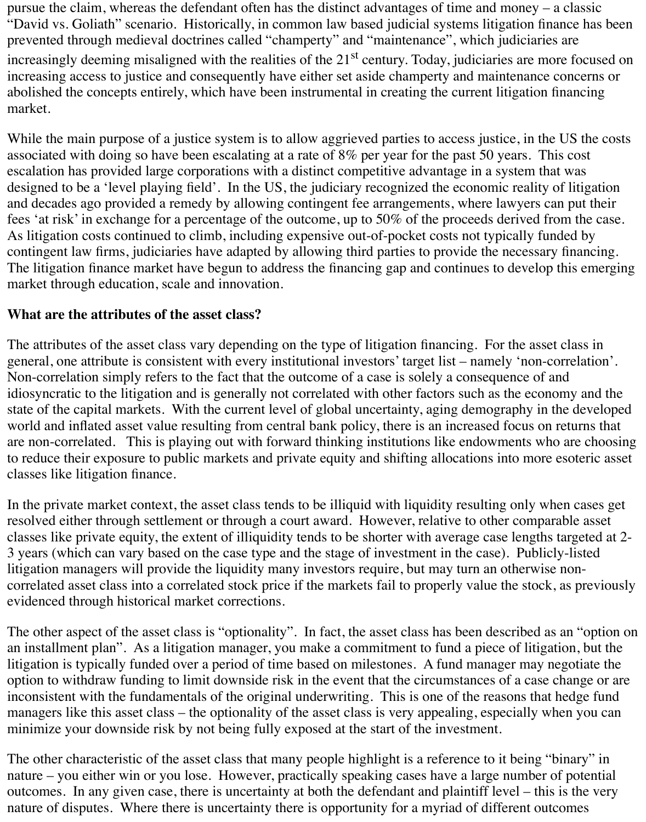pursue the claim, whereas the defendant often has the distinct advantages of time and money – a classic "David vs. Goliath" scenario. Historically, in common law based judicial systems litigation finance has been prevented through medieval doctrines called "champerty" and "maintenance", which judiciaries are increasingly deeming misaligned with the realities of the  $21<sup>st</sup>$  century. Today, judiciaries are more focused on increasing access to justice and consequently have either set aside champerty and maintenance concerns or abolished the concepts entirely, which have been instrumental in creating the current litigation financing market.

While the main purpose of a justice system is to allow aggrieved parties to access justice, in the US the costs associated with doing so have been escalating at a rate of 8% per year for the past 50 years. This cost escalation has provided large corporations with a distinct competitive advantage in a system that was designed to be a 'level playing field'. In the US, the judiciary recognized the economic reality of litigation and decades ago provided a remedy by allowing contingent fee arrangements, where lawyers can put their fees 'at risk' in exchange for a percentage of the outcome, up to 50% of the proceeds derived from the case. As litigation costs continued to climb, including expensive out-of-pocket costs not typically funded by contingent law firms, judiciaries have adapted by allowing third parties to provide the necessary financing. The litigation finance market have begun to address the financing gap and continues to develop this emerging market through education, scale and innovation.

# **What are the attributes of the asset class?**

The attributes of the asset class vary depending on the type of litigation financing. For the asset class in general, one attribute is consistent with every institutional investors' target list – namely 'non-correlation'. Non-correlation simply refers to the fact that the outcome of a case is solely a consequence of and idiosyncratic to the litigation and is generally not correlated with other factors such as the economy and the state of the capital markets. With the current level of global uncertainty, aging demography in the developed world and inflated asset value resulting from central bank policy, there is an increased focus on returns that are non-correlated. This is playing out with forward thinking institutions like endowments who are choosing to reduce their exposure to public markets and private equity and shifting allocations into more esoteric asset classes like litigation finance.

In the private market context, the asset class tends to be illiquid with liquidity resulting only when cases get resolved either through settlement or through a court award. However, relative to other comparable asset classes like private equity, the extent of illiquidity tends to be shorter with average case lengths targeted at 2- 3 years (which can vary based on the case type and the stage of investment in the case). Publicly-listed litigation managers will provide the liquidity many investors require, but may turn an otherwise noncorrelated asset class into a correlated stock price if the markets fail to properly value the stock, as previously evidenced through historical market corrections.

The other aspect of the asset class is "optionality". In fact, the asset class has been described as an "option on an installment plan". As a litigation manager, you make a commitment to fund a piece of litigation, but the litigation is typically funded over a period of time based on milestones. A fund manager may negotiate the option to withdraw funding to limit downside risk in the event that the circumstances of a case change or are inconsistent with the fundamentals of the original underwriting. This is one of the reasons that hedge fund managers like this asset class – the optionality of the asset class is very appealing, especially when you can minimize your downside risk by not being fully exposed at the start of the investment.

The other characteristic of the asset class that many people highlight is a reference to it being "binary" in nature – you either win or you lose. However, practically speaking cases have a large number of potential outcomes. In any given case, there is uncertainty at both the defendant and plaintiff level – this is the very nature of disputes. Where there is uncertainty there is opportunity for a myriad of different outcomes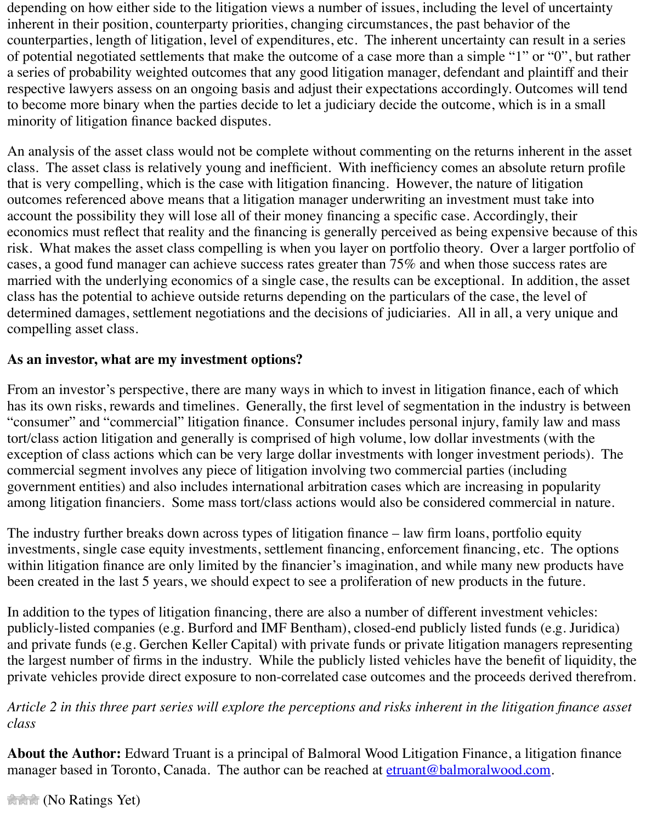to become more binary when the parties decide to let a judiciary decide the outcome, which is in a small minority of litigation finance backed disputes.

An analysis of the asset class would not be complete without commenting on the returns inherent in the asset class would not be complete without commenting on the returns inherent in the asset of  $\alpha$ class. The asset class is relatively young and inefficient. With inefficiency comes an absolute that is very compelling, which is the case with litigation financing. However, the nature of litigation outcomes referenced above means that a litigation manager underwriting an investment must t account the possibility they will lose all of their money financing a specific case. Accordingly, economics must reflect that reality and the financing is generally perceived as being expensive risk. What makes the asset class compelling is when you layer on portfolio theory. Over a larger cases, a good fund manager can achieve success rates greater than 75% and when those succes married with the underlying economics of a single case, the results can be exceptional. In addition, the asset class has the potential to achieve outside returns depending on the particulars of the case, the le determined damages, settlement negotiations and the decisions of judiciaries. All in all, a very compelling asset class.

# **As an investor, what are my investment options?**

From an investor's perspective, there are many ways in which to invest in litigation finance, ea has its own risks, rewards and timelines. Generally, the first level of segmentation in the indus "consumer" and "commercial" litigation finance. Consumer includes personal injury, family law tort/class action litigation and generally is comprised of high volume, low dollar investments ( exception of class actions which can be very large dollar investments with longer investment p commercial segment involves any piece of litigation involving two commercial parties (includ government entities) and also includes international arbitration cases which are increasing in p among litigation financiers. Some mass tort/class actions would also be considered commercial

The industry further breaks down across types of litigation finance  $-$  law firm loans, portfolio  $\epsilon$ investments, single case equity investments, settlement financing, enforcement financing, etc. within litigation finance are only limited by the financier's imagination, and while many new p been created in the last 5 years, we should expect to see a proliferation of new products in the

In addition to the types of litigation financing, there are also a number of different investment vehicles: publicly-listed companies (e.g. Burford and IMF Bentham), closed-end publicly listed funds (e.g.  $\beta$ and private funds (e.g. Gerchen Keller Capital) with private funds or private litigation managers the largest number of firms in the industry. While the publicly listed vehicles have the benefit private vehicles provide direct exposure to non-correlated case outcomes and the proceeds derived

*Article 2 in this three part series will explore the perceptions and risks inherent in the litigation class*

**About the Author:** Edward Truant is a principal of Balmoral Wood Litigation Finance, a litig manager based in Toronto, Canada. The author can be reached at etruant@balmoralwood.com

*Change (No Ratings Yet)*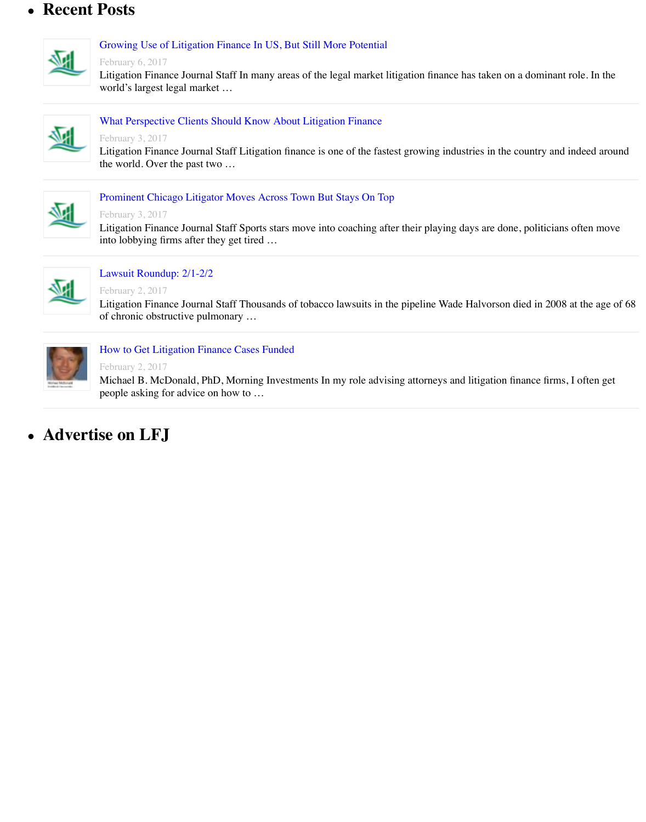

### What Perspective Clients Should Know About Litigation Finance

#### February 3, 2017

[Litigation Finance Journal Staff Litigation finance is one of the fast](https://litigationfinancejournal.com/growing-use-of-litigation-finance-in-us-but-still-more-potential/)est growing industries in the country the world. Over the past two …



#### Prominent Chicago Litigator Moves Across Town But Stays On Top

#### February 3, 2017

[Litigation Finance Journal Staff Sports stars move into coaching a](https://litigationfinancejournal.com/what-perspective-clients-should-know-about-litigation-finance/)fter their playing days are done, politic into lobbying firms after they get tired …



## Lawsuit Roundup: 2/1-2/2

February 2, 2017

[Litigation Finance Journal Staff Thousands of tobacco lawsuits in the](https://litigationfinancejournal.com/prominent-chicago-litigator-moves-across-town-but-stays-on-top/) pipeline Wade Halvorson died in 2 of chronic obstructive pulmonary …



### How to Get Litigation Finance Cases Funded

### February 2, 2017

[Michael B. McDonald, PhD](https://litigationfinancejournal.com/lawsuit-roundup-21-22/), Morning Investments In my role advising attorneys and litigation finance fi people asking for advice on how to …

# **Advertise on LFJ**